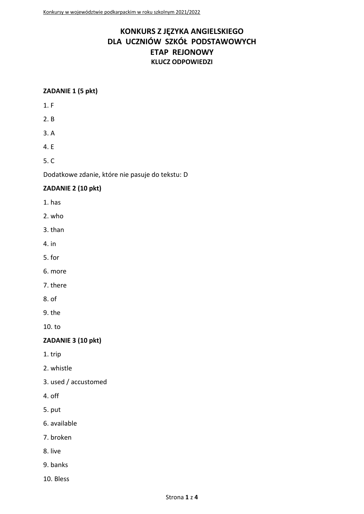# KONKURS Z JĘZYKA ANGIELSKIEGO DLA UCZNIÓW SZKÓŁ PODSTAWOWYCH **ETAP REJONOWY KLUCZ ODPOWIEDZI**

# ZADANIE 1 (5 pkt)

- $1. F$
- $2. B$
- $3. A$
- 4. E

 $5. C$ 

Dodatkowe zdanie, które nie pasuje do tekstu: D

# ZADANIE 2 (10 pkt)

- 1. has
- 2. who
- 3. than
- 4. in
- 5. for
- 6. more
- 7. there
- $8. of$
- 9. the

 $10. t<sub>o</sub>$ 

# ZADANIE 3 (10 pkt)

1. trip

- 2. whistle
- 3. used / accustomed
- 4. off
- 5. put
- 6. available
- 7. broken
- 8. live
- 9. banks
- 10. Bless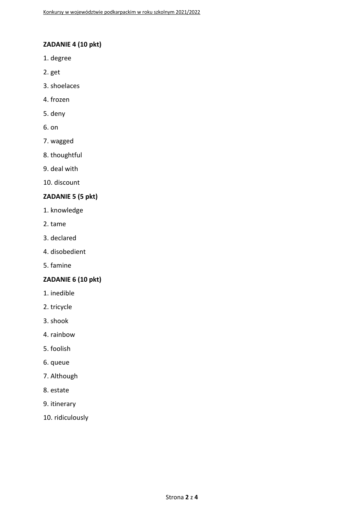# **ZADANIE 4 (10 pkt)**

- 1. degree
- 2. get
- 3. shoelaces
- 4. frozen
- 5. deny
- 6. on
- 7. wagged
- 8. thoughtful
- 9. deal with
- 10. discount

# **ZADANIE 5 (5 pkt)**

- 1. knowledge
- 2. tame
- 3. declared
- 4. disobedient
- 5. famine

#### **ZADANIE 6 (10 pkt)**

- 1. inedible
- 2. tricycle
- 3. shook
- 4. rainbow
- 5. foolish
- 6. queue
- 7. Although
- 8. estate
- 9. itinerary
- 10. ridiculously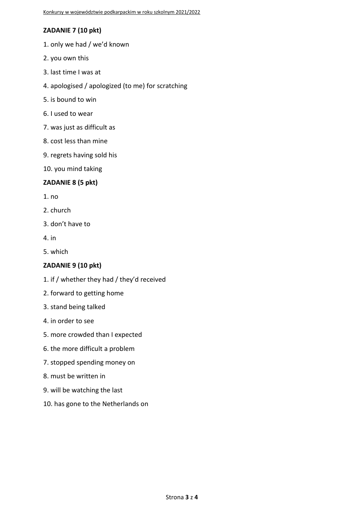# **ZADANIE 7 (10 pkt)**

- 1. only we had / we'd known
- 2. you own this
- 3. last time I was at
- 4. apologised / apologized (to me) for scratching
- 5. is bound to win
- 6. I used to wear
- 7. was just as difficult as
- 8. cost less than mine
- 9. regrets having sold his
- 10. you mind taking

# **ZADANIE 8 (5 pkt)**

- 1. no
- 2. church
- 3. don't have to
- 4. in
- 5. which

# **ZADANIE 9 (10 pkt)**

- 1. if / whether they had / they'd received
- 2. forward to getting home
- 3. stand being talked
- 4. in order to see
- 5. more crowded than I expected
- 6. the more difficult a problem
- 7. stopped spending money on
- 8. must be written in
- 9. will be watching the last
- 10. has gone to the Netherlands on